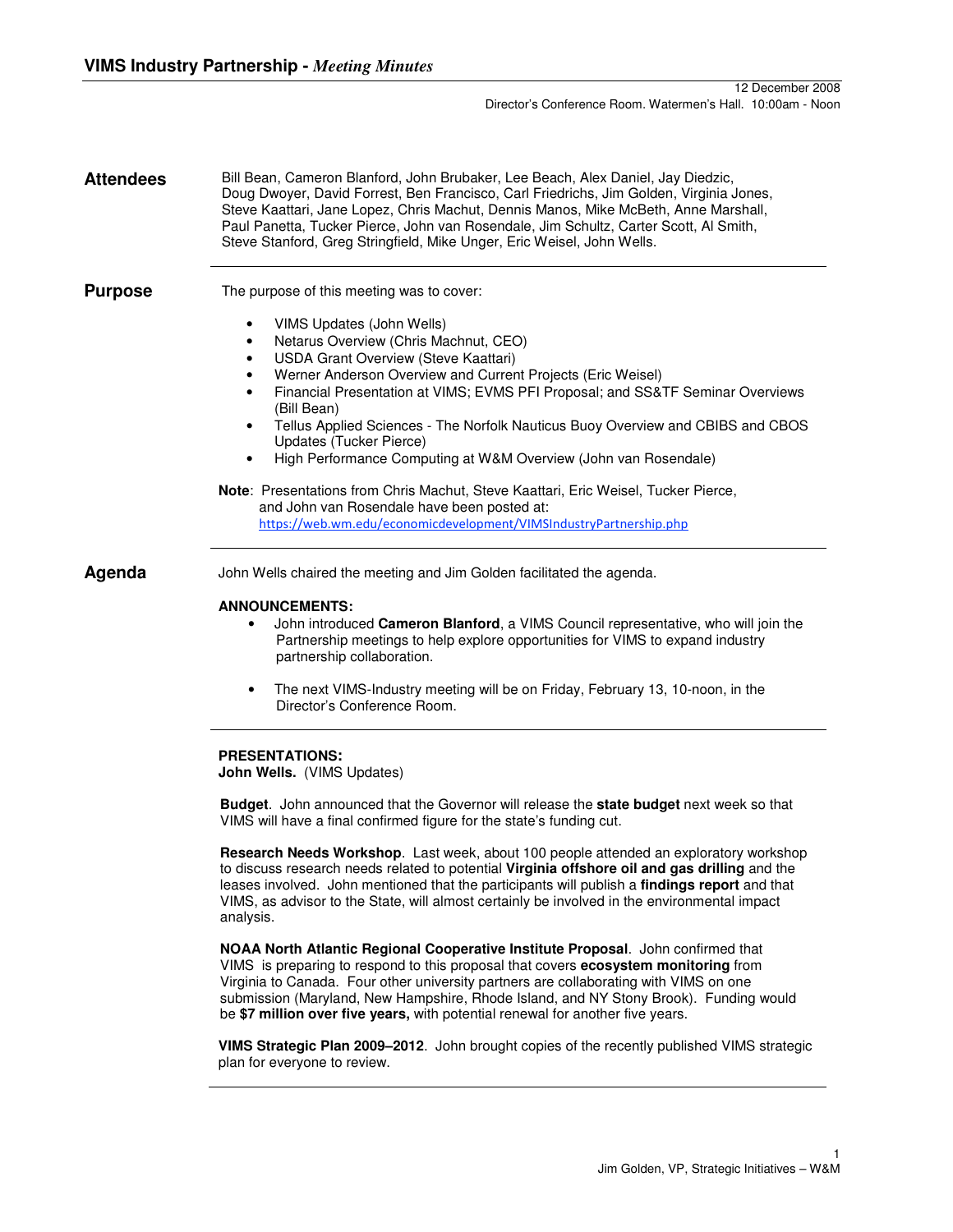**Attendees** Bill Bean, Cameron Blanford, John Brubaker, Lee Beach, Alex Daniel, Jay Diedzic, Doug Dwoyer, David Forrest, Ben Francisco, Carl Friedrichs, Jim Golden, Virginia Jones, Steve Kaattari, Jane Lopez, Chris Machut, Dennis Manos, Mike McBeth, Anne Marshall, Paul Panetta, Tucker Pierce, John van Rosendale, Jim Schultz, Carter Scott, Al Smith, Steve Stanford, Greg Stringfield, Mike Unger, Eric Weisel, John Wells.

**Purpose** The purpose of this meeting was to cover:

- VIMS Updates (John Wells)
- Netarus Overview (Chris Machnut, CEO)
- USDA Grant Overview (Steve Kaattari)
- Werner Anderson Overview and Current Projects (Eric Weisel)
- Financial Presentation at VIMS; EVMS PFI Proposal; and SS&TF Seminar Overviews (Bill Bean)
- Tellus Applied Sciences The Norfolk Nauticus Buoy Overview and CBIBS and CBOS Updates (Tucker Pierce)
- High Performance Computing at W&M Overview (John van Rosendale)
- **Note**: Presentations from Chris Machut, Steve Kaattari, Eric Weisel, Tucker Pierce, and John van Rosendale have been posted at: https://web.wm.edu/economicdevelopment/VIMSIndustryPartnership.php

Agenda John Wells chaired the meeting and Jim Golden facilitated the agenda.

### **ANNOUNCEMENTS:**

- John introduced **Cameron Blanford**, a VIMS Council representative, who will join the Partnership meetings to help explore opportunities for VIMS to expand industry partnership collaboration.
- The next VIMS-Industry meeting will be on Friday, February 13, 10-noon, in the Director's Conference Room.

### **PRESENTATIONS:**

**John Wells.** (VIMS Updates)

**Budget**. John announced that the Governor will release the **state budget** next week so that VIMS will have a final confirmed figure for the state's funding cut.

**Research Needs Workshop**. Last week, about 100 people attended an exploratory workshop to discuss research needs related to potential **Virginia offshore oil and gas drilling** and the leases involved. John mentioned that the participants will publish a **findings report** and that VIMS, as advisor to the State, will almost certainly be involved in the environmental impact analysis.

**NOAA North Atlantic Regional Cooperative Institute Proposal**. John confirmed that VIMS is preparing to respond to this proposal that covers **ecosystem monitoring** from Virginia to Canada. Four other university partners are collaborating with VIMS on one submission (Maryland, New Hampshire, Rhode Island, and NY Stony Brook). Funding would be **\$7 million over five years,** with potential renewal for another five years.

**VIMS Strategic Plan 2009–2012**. John brought copies of the recently published VIMS strategic plan for everyone to review.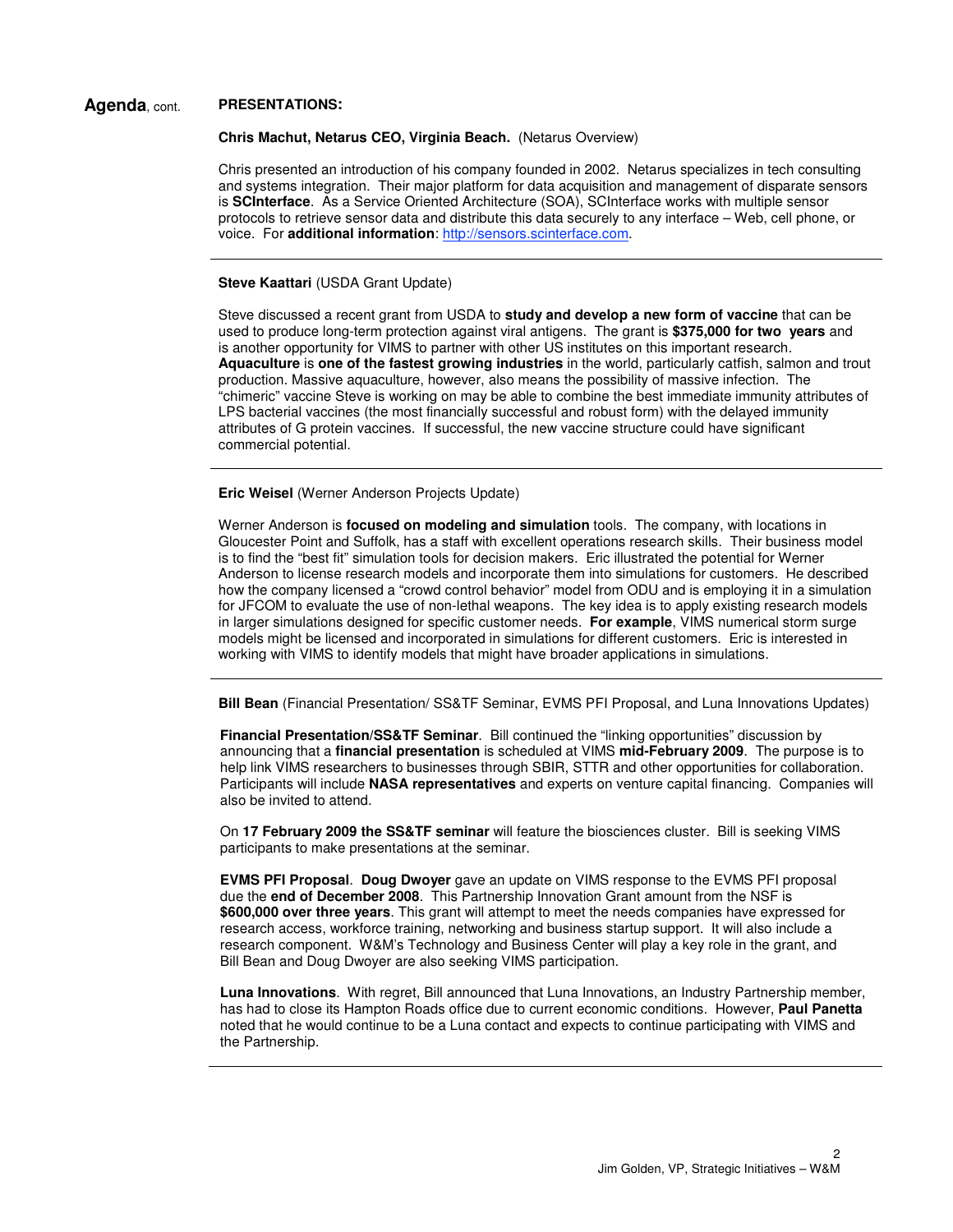# **Agenda**, cont. **PRESENTATIONS:**

**Chris Machut, Netarus CEO, Virginia Beach.** (Netarus Overview)

Chris presented an introduction of his company founded in 2002. Netarus specializes in tech consulting and systems integration. Their major platform for data acquisition and management of disparate sensors is **SCInterface**. As a Service Oriented Architecture (SOA), SCInterface works with multiple sensor protocols to retrieve sensor data and distribute this data securely to any interface – Web, cell phone, or voice. For **additional information**: http://sensors.scinterface.com.

## **Steve Kaattari (USDA Grant Update)**

Steve discussed a recent grant from USDA to **study and develop a new form of vaccine** that can be used to produce long-term protection against viral antigens. The grant is **\$375,000 for two years** and is another opportunity for VIMS to partner with other US institutes on this important research. **Aquaculture** is **one of the fastest growing industries** in the world, particularly catfish, salmon and trout production. Massive aquaculture, however, also means the possibility of massive infection. The "chimeric" vaccine Steve is working on may be able to combine the best immediate immunity attributes of LPS bacterial vaccines (the most financially successful and robust form) with the delayed immunity attributes of G protein vaccines. If successful, the new vaccine structure could have significant commercial potential.

**Eric Weisel** (Werner Anderson Projects Update)

Werner Anderson is **focused on modeling and simulation** tools. The company, with locations in Gloucester Point and Suffolk, has a staff with excellent operations research skills. Their business model is to find the "best fit" simulation tools for decision makers. Eric illustrated the potential for Werner Anderson to license research models and incorporate them into simulations for customers. He described how the company licensed a "crowd control behavior" model from ODU and is employing it in a simulation for JFCOM to evaluate the use of non-lethal weapons. The key idea is to apply existing research models in larger simulations designed for specific customer needs. **For example**, VIMS numerical storm surge models might be licensed and incorporated in simulations for different customers. Eric is interested in working with VIMS to identify models that might have broader applications in simulations.

**Bill Bean** (Financial Presentation/ SS&TF Seminar, EVMS PFI Proposal, and Luna Innovations Updates)

**Financial Presentation/SS&TF Seminar**. Bill continued the "linking opportunities" discussion by announcing that a **financial presentation** is scheduled at VIMS **mid-February 2009**. The purpose is to help link VIMS researchers to businesses through SBIR, STTR and other opportunities for collaboration. Participants will include **NASA representatives** and experts on venture capital financing. Companies will also be invited to attend.

On **17 February 2009 the SS&TF seminar** will feature the biosciences cluster. Bill is seeking VIMS participants to make presentations at the seminar.

**EVMS PFI Proposal**. **Doug Dwoyer** gave an update on VIMS response to the EVMS PFI proposal due the **end of December 2008**. This Partnership Innovation Grant amount from the NSF is **\$600,000 over three years**. This grant will attempt to meet the needs companies have expressed for research access, workforce training, networking and business startup support. It will also include a research component. W&M's Technology and Business Center will play a key role in the grant, and Bill Bean and Doug Dwoyer are also seeking VIMS participation.

**Luna Innovations**. With regret, Bill announced that Luna Innovations, an Industry Partnership member, has had to close its Hampton Roads office due to current economic conditions. However, **Paul Panetta** noted that he would continue to be a Luna contact and expects to continue participating with VIMS and the Partnership.